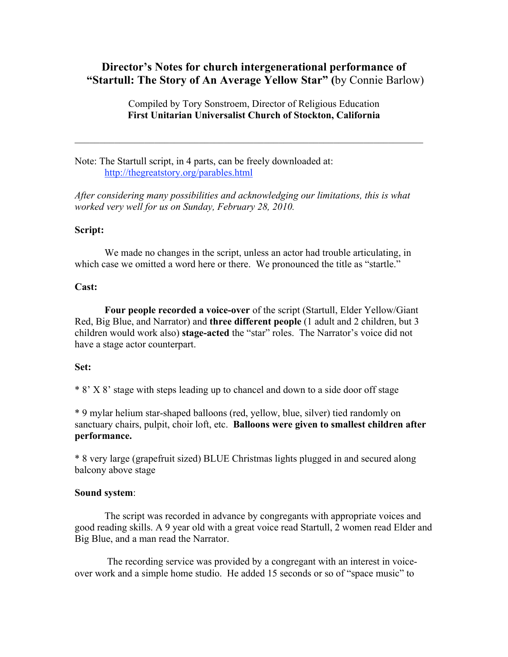# **Director's Notes for church intergenerational performance of "Startull: The Story of An Average Yellow Star" (**by Connie Barlow)

Compiled by Tory Sonstroem, Director of Religious Education **First Unitarian Universalist Church of Stockton, California**

Note: The Startull script, in 4 parts, can be freely downloaded at: http://thegreatstory.org/parables.html

*After considering many possibilities and acknowledging our limitations, this is what worked very well for us on Sunday, February 28, 2010.*

## **Script:**

We made no changes in the script, unless an actor had trouble articulating, in which case we omitted a word here or there. We pronounced the title as "startle."

## **Cast:**

**Four people recorded a voice-over** of the script (Startull, Elder Yellow/Giant Red, Big Blue, and Narrator) and **three different people** (1 adult and 2 children, but 3 children would work also) **stage-acted** the "star" roles. The Narrator's voice did not have a stage actor counterpart.

## **Set:**

\* 8' X 8' stage with steps leading up to chancel and down to a side door off stage

\* 9 mylar helium star-shaped balloons (red, yellow, blue, silver) tied randomly on sanctuary chairs, pulpit, choir loft, etc. **Balloons were given to smallest children after performance.**

\* 8 very large (grapefruit sized) BLUE Christmas lights plugged in and secured along balcony above stage

## **Sound system**:

The script was recorded in advance by congregants with appropriate voices and good reading skills. A 9 year old with a great voice read Startull, 2 women read Elder and Big Blue, and a man read the Narrator.

The recording service was provided by a congregant with an interest in voiceover work and a simple home studio. He added 15 seconds or so of "space music" to